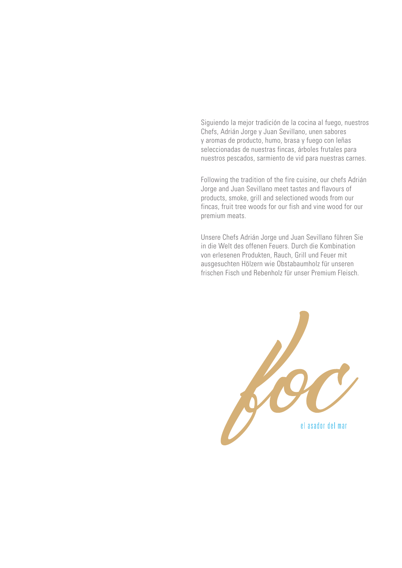Siguiendo la mejor tradición de la cocina al fuego, nuestros Chefs, Adrián Jorge y Juan Sevillano, unen sabores y aromas de producto, humo, brasa y fuego con leñas seleccionadas de nuestras fincas, árboles frutales para nuestros pescados, sarmiento de vid para nuestras carnes.

Following the tradition of the fire cuisine, our chefs Adrián Jorge and Juan Sevillano meet tastes and flavours of products, smoke, grill and selectioned woods from our fincas, fruit tree woods for our fish and vine wood for our premium meats.

Unsere Chefs Adrián Jorge und Juan Sevillano führen Sie in die Welt des offenen Feuers. Durch die Kombination von erlesenen Produkten, Rauch, Grill und Feuer mit ausgesuchten Hölzern wie Obstabaumholz für unseren frischen Fisch und Rebenholz für unser Premium Fleisch.

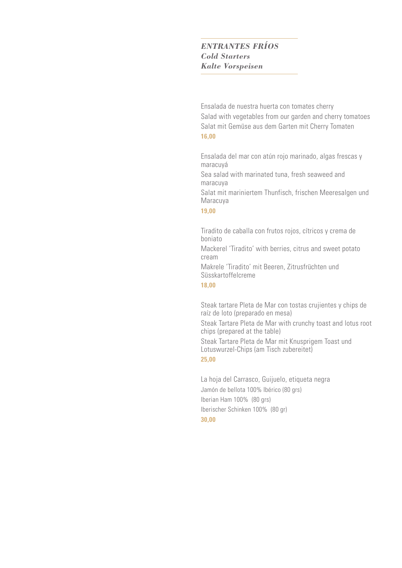# *ENTRANTES FRÍOS Cold Starters Kalte Vorspeisen*

Ensalada de nuestra huerta con tomates cherry Salad with vegetables from our garden and cherry tomatoes Salat mit Gemüse aus dem Garten mit Cherry Tomaten **16,00**

Ensalada del mar con atún rojo marinado, algas frescas y maracuyá

Sea salad with marinated tuna, fresh seaweed and maracuya

Salat mit mariniertem Thunfisch, frischen Meeresalgen und Maracuya

# **19,00**

Tiradito de caballa con frutos rojos, cítricos y crema de boniato

Mackerel 'Tiradito' with berries, citrus and sweet potato cream

Makrele 'Tiradito' mit Beeren, Zitrusfrüchten und Süsskartoffelcreme

**18,00**

Steak tartare Pleta de Mar con tostas crujientes y chips de raíz de loto (preparado en mesa) Steak Tartare Pleta de Mar with crunchy toast and lotus root chips (prepared at the table) Steak Tartare Pleta de Mar mit Knusprigem Toast und

Lotuswurzel-Chips (am Tisch zubereitet)

**25,00**

La hoja del Carrasco, Guijuelo, etiqueta negra Jamón de bellota 100% Ibérico (80 grs) Iberian Ham 100% (80 grs) Iberischer Schinken 100% (80 gr) **30,00**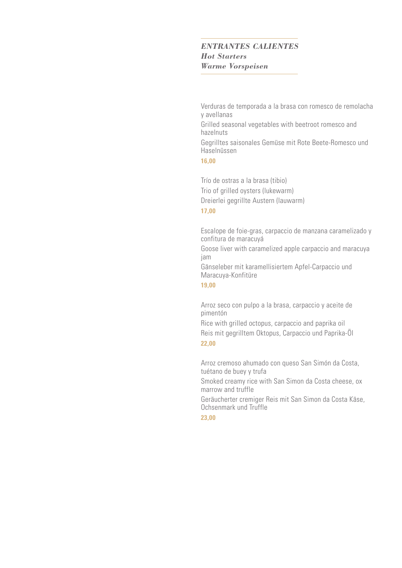## *ENTRANTES CALIENTES Hot Starters Warme Vorspeisen*

Verduras de temporada a la brasa con romesco de remolacha y avellanas Grilled seasonal vegetables with beetroot romesco and hazelnuts Gegrilltes saisonales Gemüse mit Rote Beete-Romesco und Haselnüssen

#### **16,00**

Trío de ostras a la brasa (tibio) Trio of grilled oysters (lukewarm) Dreierlei gegrillte Austern (lauwarm)

# **17,00**

Escalope de foie-gras, carpaccio de manzana caramelizado y confitura de maracuyá

Goose liver with caramelized apple carpaccio and maracuya jam

Gänseleber mit karamellisiertem Apfel-Carpaccio und Maracuya-Konfitüre

**19,00**

Arroz seco con pulpo a la brasa, carpaccio y aceite de pimentón

Rice with grilled octopus, carpaccio and paprika oil Reis mit gegrilltem Oktopus, Carpaccio und Paprika-Öl **22,00**

Arroz cremoso ahumado con queso San Simón da Costa, tuétano de buey y trufa

Smoked creamy rice with San Simon da Costa cheese, ox marrow and truffle

Geräucherter cremiger Reis mit San Simon da Costa Käse, Ochsenmark und Truffle

**23,00**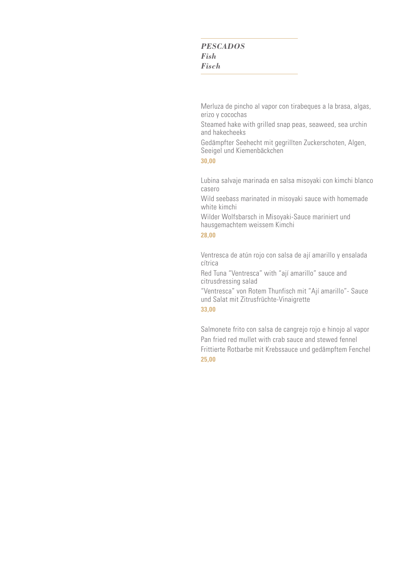# *PESCADOS Fish Fisch*

Merluza de pincho al vapor con tirabeques a la brasa, algas, erizo y cocochas

Steamed hake with grilled snap peas, seaweed, sea urchin and hakecheeks

Gedämpfter Seehecht mit gegrillten Zuckerschoten, Algen, Seeigel und Kiemenbäckchen

#### **30,00**

Lubina salvaje marinada en salsa misoyaki con kimchi blanco casero

Wild seebass marinated in misoyaki sauce with homemade white kimchi

Wilder Wolfsbarsch in Misoyaki-Sauce mariniert und hausgemachtem weissem Kimchi

#### **28,00**

Ventresca de atún rojo con salsa de ají amarillo y ensalada cítrica

Red Tuna "Ventresca" with "ají amarillo" sauce and citrusdressing salad

"Ventresca" von Rotem Thunfisch mit "Ají amarillo"- Sauce und Salat mit Zitrusfrüchte-Vinaigrette

### **33,00**

Salmonete frito con salsa de cangrejo rojo e hinojo al vapor Pan fried red mullet with crab sauce and stewed fennel Frittierte Rotbarbe mit Krebssauce und gedämpftem Fenchel **25,00**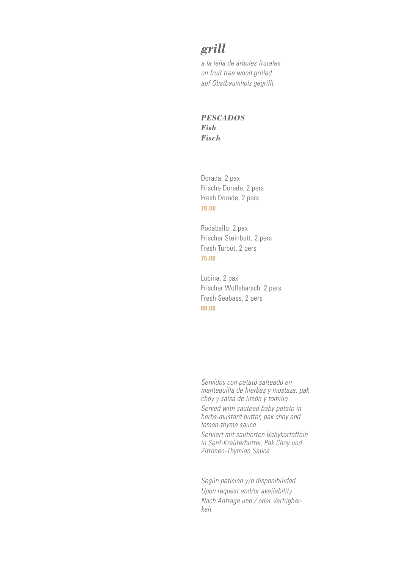# *grill*

*a la leña de árboles frutales on fruit tree wood grilled auf Obstbaumholz gegrillt*

*PESCADOS Fish Fisch*

Dorada, 2 pax Frische Dorade, 2 pers Fresh Dorade, 2 pers **70,00**

Rodaballo, 2 pax Frischer Steinbutt, 2 pers Fresh Turbot, 2 pers **75,00**

Lubina, 2 pax Frischer Wolfsbarsch, 2 pers Fresh Seabass, 2 pers **80,00**

*Servidos con patató salteado en mantequilla de hierbas y mostaza, pak choy y salsa de limón y tomillo*

*Served with sauteed baby potato in herbs-mustard butter, pak choy and lemon-thyme sauce*

*Serviert mit sautierten Babykartoffeln in Senf-Kraüterbutter, Pak Choy und Zitronen-Thymian Sauce*

*Según petición y/o disponibilidad Upon request and/or availability Nach Anfrage und / oder Verfügbarkeit*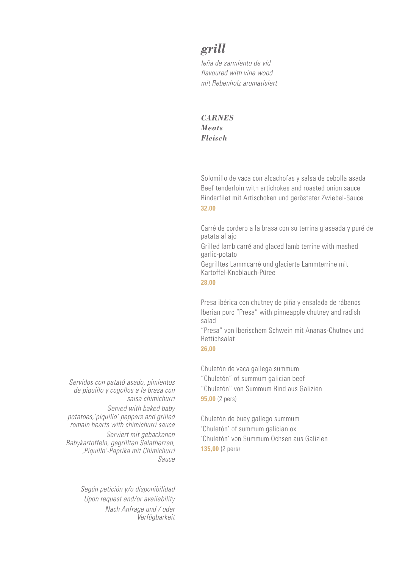# *grill*

*leña de sarmiento de vid flavoured with vine wood mit Rebenholz aromatisiert*

*CARNES Meats Fleisch*

Solomillo de vaca con alcachofas y salsa de cebolla asada Beef tenderloin with artichokes and roasted onion sauce Rinderfilet mit Artischoken und gerösteter Zwiebel-Sauce **32,00**

Carré de cordero a la brasa con su terrina glaseada y puré de patata al ajo Grilled lamb carré and glaced lamb terrine with mashed garlic-potato

Gegrilltes Lammcarré und glacierte Lammterrine mit Kartoffel-Knoblauch-Püree

**28,00**

Presa ibérica con chutney de piña y ensalada de rábanos Iberian porc "Presa" with pinneapple chutney and radish salad

"Presa" von Iberischem Schwein mit Ananas-Chutney und Rettichsalat

**26,00**

Chuletón de vaca gallega summum "Chuletón" of summum galician beef "Chuletón" von Summum Rind aus Galizien **95,00** (2 pers)

Chuletón de buey gallego summum 'Chuletón' of summum galician ox 'Chuletón' von Summum Ochsen aus Galizien **135,00** (2 pers)

*Servidos con patató asado, pimientos de piquillo y cogollos a la brasa con salsa chimichurri*

*Served with baked baby potatoes,'piquillo' peppers and grilled romain hearts with chimichurri sauce*

*Serviert mit gebackenen Babykartoffeln, gegrillten Salatherzen, 'Piquillo'-Paprika mit Chimichurri Sauce*

> *Según petición y/o disponibilidad Upon request and/or availability Nach Anfrage und / oder Verfügbarkeit*